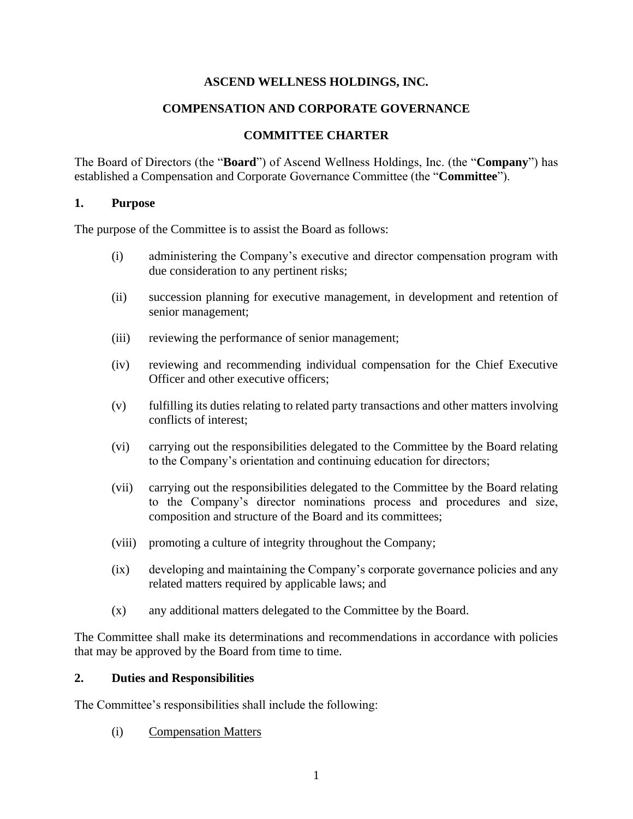#### **ASCEND WELLNESS HOLDINGS, INC.**

#### **COMPENSATION AND CORPORATE GOVERNANCE**

#### **COMMITTEE CHARTER**

The Board of Directors (the "**Board**") of Ascend Wellness Holdings, Inc. (the "**Company**") has established a Compensation and Corporate Governance Committee (the "**Committee**").

#### **1. Purpose**

The purpose of the Committee is to assist the Board as follows:

- (i) administering the Company's executive and director compensation program with due consideration to any pertinent risks;
- (ii) succession planning for executive management, in development and retention of senior management;
- (iii) reviewing the performance of senior management;
- (iv) reviewing and recommending individual compensation for the Chief Executive Officer and other executive officers;
- (v) fulfilling its duties relating to related party transactions and other matters involving conflicts of interest;
- (vi) carrying out the responsibilities delegated to the Committee by the Board relating to the Company's orientation and continuing education for directors;
- (vii) carrying out the responsibilities delegated to the Committee by the Board relating to the Company's director nominations process and procedures and size, composition and structure of the Board and its committees;
- (viii) promoting a culture of integrity throughout the Company;
- (ix) developing and maintaining the Company's corporate governance policies and any related matters required by applicable laws; and
- (x) any additional matters delegated to the Committee by the Board.

The Committee shall make its determinations and recommendations in accordance with policies that may be approved by the Board from time to time.

#### **2. Duties and Responsibilities**

The Committee's responsibilities shall include the following:

(i) Compensation Matters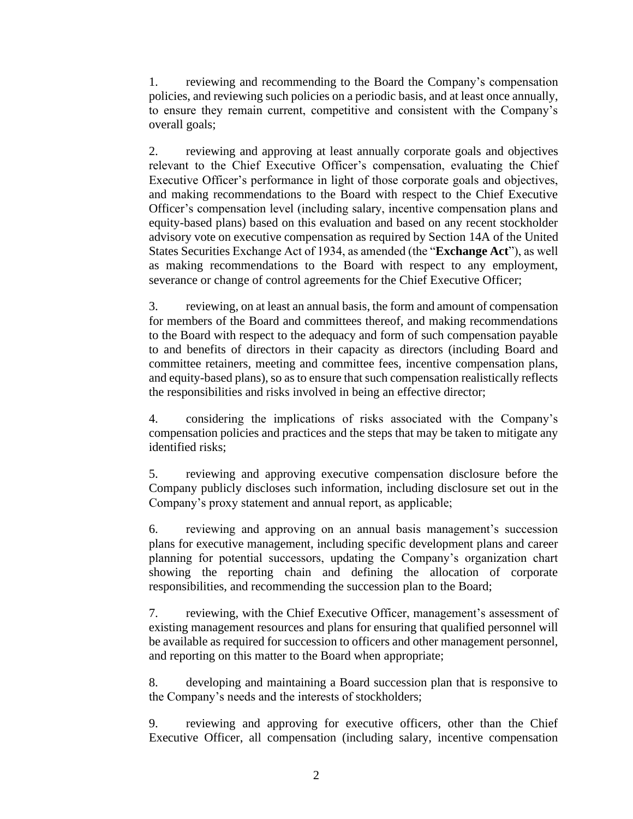1. reviewing and recommending to the Board the Company's compensation policies, and reviewing such policies on a periodic basis, and at least once annually, to ensure they remain current, competitive and consistent with the Company's overall goals;

2. reviewing and approving at least annually corporate goals and objectives relevant to the Chief Executive Officer's compensation, evaluating the Chief Executive Officer's performance in light of those corporate goals and objectives, and making recommendations to the Board with respect to the Chief Executive Officer's compensation level (including salary, incentive compensation plans and equity-based plans) based on this evaluation and based on any recent stockholder advisory vote on executive compensation as required by Section 14A of the United States Securities Exchange Act of 1934, as amended (the "**Exchange Act**"), as well as making recommendations to the Board with respect to any employment, severance or change of control agreements for the Chief Executive Officer;

3. reviewing, on at least an annual basis, the form and amount of compensation for members of the Board and committees thereof, and making recommendations to the Board with respect to the adequacy and form of such compensation payable to and benefits of directors in their capacity as directors (including Board and committee retainers, meeting and committee fees, incentive compensation plans, and equity-based plans), so as to ensure that such compensation realistically reflects the responsibilities and risks involved in being an effective director;

4. considering the implications of risks associated with the Company's compensation policies and practices and the steps that may be taken to mitigate any identified risks;

5. reviewing and approving executive compensation disclosure before the Company publicly discloses such information, including disclosure set out in the Company's proxy statement and annual report, as applicable;

6. reviewing and approving on an annual basis management's succession plans for executive management, including specific development plans and career planning for potential successors, updating the Company's organization chart showing the reporting chain and defining the allocation of corporate responsibilities, and recommending the succession plan to the Board;

7. reviewing, with the Chief Executive Officer, management's assessment of existing management resources and plans for ensuring that qualified personnel will be available as required for succession to officers and other management personnel, and reporting on this matter to the Board when appropriate;

8. developing and maintaining a Board succession plan that is responsive to the Company's needs and the interests of stockholders;

9. reviewing and approving for executive officers, other than the Chief Executive Officer, all compensation (including salary, incentive compensation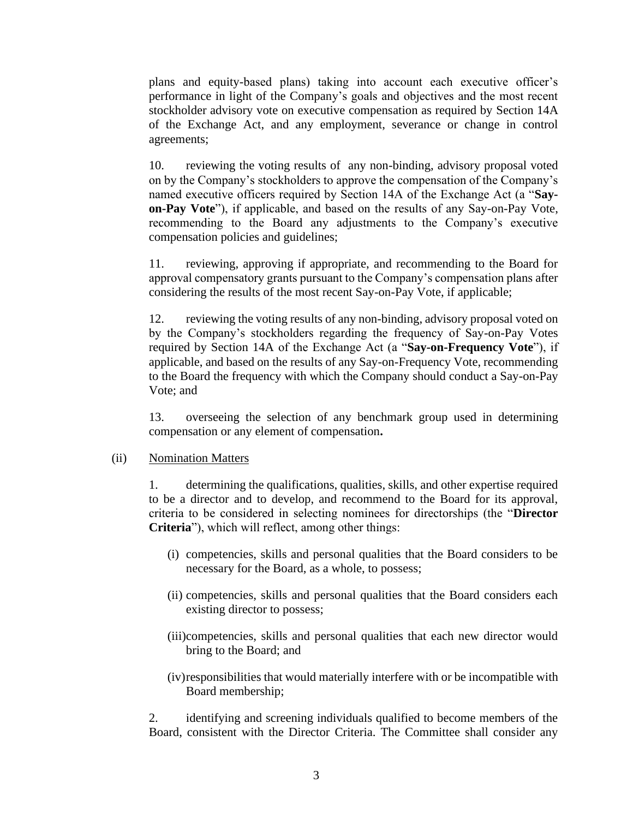plans and equity-based plans) taking into account each executive officer's performance in light of the Company's goals and objectives and the most recent stockholder advisory vote on executive compensation as required by Section 14A of the Exchange Act, and any employment, severance or change in control agreements;

10. reviewing the voting results of any non-binding, advisory proposal voted on by the Company's stockholders to approve the compensation of the Company's named executive officers required by Section 14A of the Exchange Act (a "**Sayon-Pay Vote**"), if applicable, and based on the results of any Say-on-Pay Vote, recommending to the Board any adjustments to the Company's executive compensation policies and guidelines;

11. reviewing, approving if appropriate, and recommending to the Board for approval compensatory grants pursuant to the Company's compensation plans after considering the results of the most recent Say-on-Pay Vote, if applicable;

12. reviewing the voting results of any non-binding, advisory proposal voted on by the Company's stockholders regarding the frequency of Say-on-Pay Votes required by Section 14A of the Exchange Act (a "**Say-on-Frequency Vote**"), if applicable, and based on the results of any Say-on-Frequency Vote, recommending to the Board the frequency with which the Company should conduct a Say-on-Pay Vote; and

13. overseeing the selection of any benchmark group used in determining compensation or any element of compensation**.**

#### (ii) Nomination Matters

1. determining the qualifications, qualities, skills, and other expertise required to be a director and to develop, and recommend to the Board for its approval, criteria to be considered in selecting nominees for directorships (the "**Director Criteria**"), which will reflect, among other things:

- (i) competencies, skills and personal qualities that the Board considers to be necessary for the Board, as a whole, to possess;
- (ii) competencies, skills and personal qualities that the Board considers each existing director to possess;
- (iii)competencies, skills and personal qualities that each new director would bring to the Board; and
- (iv)responsibilities that would materially interfere with or be incompatible with Board membership;

2. identifying and screening individuals qualified to become members of the Board, consistent with the Director Criteria. The Committee shall consider any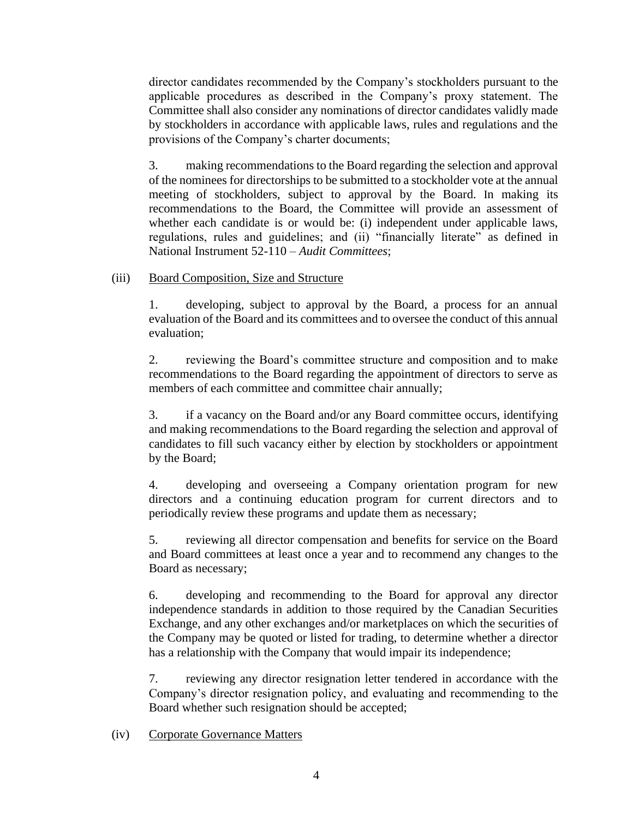director candidates recommended by the Company's stockholders pursuant to the applicable procedures as described in the Company's proxy statement. The Committee shall also consider any nominations of director candidates validly made by stockholders in accordance with applicable laws, rules and regulations and the provisions of the Company's charter documents;

3. making recommendations to the Board regarding the selection and approval of the nominees for directorships to be submitted to a stockholder vote at the annual meeting of stockholders, subject to approval by the Board. In making its recommendations to the Board, the Committee will provide an assessment of whether each candidate is or would be: (i) independent under applicable laws, regulations, rules and guidelines; and (ii) "financially literate" as defined in National Instrument 52-110 – *Audit Committees*;

#### (iii) Board Composition, Size and Structure

1. developing, subject to approval by the Board, a process for an annual evaluation of the Board and its committees and to oversee the conduct of this annual evaluation;

2. reviewing the Board's committee structure and composition and to make recommendations to the Board regarding the appointment of directors to serve as members of each committee and committee chair annually;

3. if a vacancy on the Board and/or any Board committee occurs, identifying and making recommendations to the Board regarding the selection and approval of candidates to fill such vacancy either by election by stockholders or appointment by the Board;

4. developing and overseeing a Company orientation program for new directors and a continuing education program for current directors and to periodically review these programs and update them as necessary;

5. reviewing all director compensation and benefits for service on the Board and Board committees at least once a year and to recommend any changes to the Board as necessary;

6. developing and recommending to the Board for approval any director independence standards in addition to those required by the Canadian Securities Exchange, and any other exchanges and/or marketplaces on which the securities of the Company may be quoted or listed for trading, to determine whether a director has a relationship with the Company that would impair its independence;

7. reviewing any director resignation letter tendered in accordance with the Company's director resignation policy, and evaluating and recommending to the Board whether such resignation should be accepted;

#### (iv) Corporate Governance Matters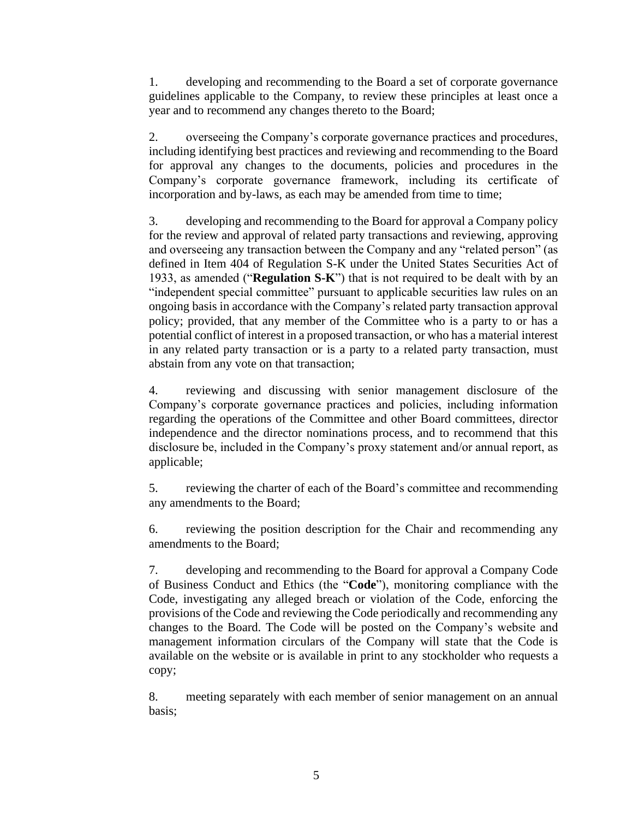1. developing and recommending to the Board a set of corporate governance guidelines applicable to the Company, to review these principles at least once a year and to recommend any changes thereto to the Board;

2. overseeing the Company's corporate governance practices and procedures, including identifying best practices and reviewing and recommending to the Board for approval any changes to the documents, policies and procedures in the Company's corporate governance framework, including its certificate of incorporation and by-laws, as each may be amended from time to time;

3. developing and recommending to the Board for approval a Company policy for the review and approval of related party transactions and reviewing, approving and overseeing any transaction between the Company and any "related person" (as defined in Item 404 of Regulation S-K under the United States Securities Act of 1933, as amended ("**Regulation S-K**") that is not required to be dealt with by an "independent special committee" pursuant to applicable securities law rules on an ongoing basis in accordance with the Company's related party transaction approval policy; provided, that any member of the Committee who is a party to or has a potential conflict of interest in a proposed transaction, or who has a material interest in any related party transaction or is a party to a related party transaction, must abstain from any vote on that transaction;

4. reviewing and discussing with senior management disclosure of the Company's corporate governance practices and policies, including information regarding the operations of the Committee and other Board committees, director independence and the director nominations process, and to recommend that this disclosure be, included in the Company's proxy statement and/or annual report, as applicable;

5. reviewing the charter of each of the Board's committee and recommending any amendments to the Board;

6. reviewing the position description for the Chair and recommending any amendments to the Board;

7. developing and recommending to the Board for approval a Company Code of Business Conduct and Ethics (the "**Code**"), monitoring compliance with the Code, investigating any alleged breach or violation of the Code, enforcing the provisions of the Code and reviewing the Code periodically and recommending any changes to the Board. The Code will be posted on the Company's website and management information circulars of the Company will state that the Code is available on the website or is available in print to any stockholder who requests a copy;

8. meeting separately with each member of senior management on an annual basis;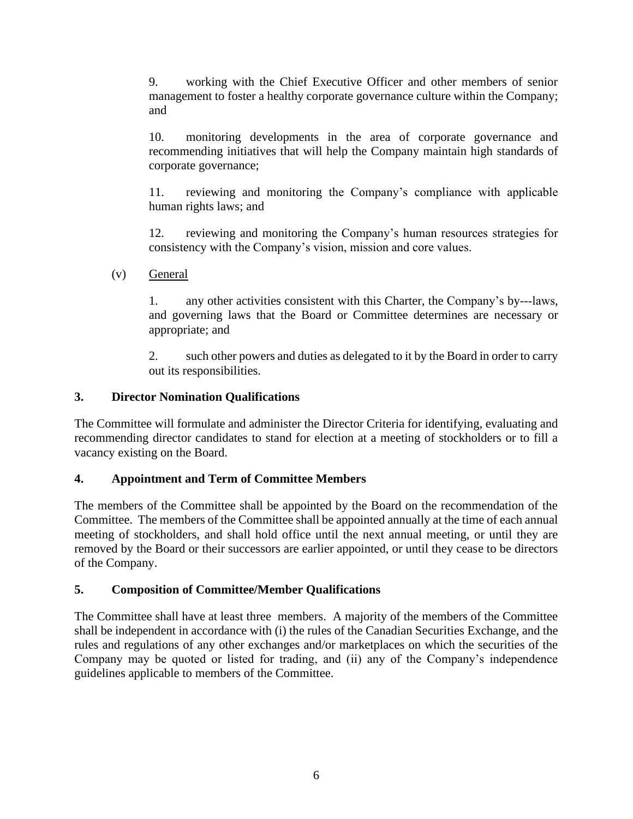9. working with the Chief Executive Officer and other members of senior management to foster a healthy corporate governance culture within the Company; and

10. monitoring developments in the area of corporate governance and recommending initiatives that will help the Company maintain high standards of corporate governance;

11. reviewing and monitoring the Company's compliance with applicable human rights laws; and

12. reviewing and monitoring the Company's human resources strategies for consistency with the Company's vision, mission and core values.

(v) General

1. any other activities consistent with this Charter, the Company's by---laws, and governing laws that the Board or Committee determines are necessary or appropriate; and

2. such other powers and duties as delegated to it by the Board in order to carry out its responsibilities.

# **3. Director Nomination Qualifications**

The Committee will formulate and administer the Director Criteria for identifying, evaluating and recommending director candidates to stand for election at a meeting of stockholders or to fill a vacancy existing on the Board.

# **4. Appointment and Term of Committee Members**

The members of the Committee shall be appointed by the Board on the recommendation of the Committee. The members of the Committee shall be appointed annually at the time of each annual meeting of stockholders, and shall hold office until the next annual meeting, or until they are removed by the Board or their successors are earlier appointed, or until they cease to be directors of the Company.

# **5. Composition of Committee/Member Qualifications**

The Committee shall have at least three members. A majority of the members of the Committee shall be independent in accordance with (i) the rules of the Canadian Securities Exchange, and the rules and regulations of any other exchanges and/or marketplaces on which the securities of the Company may be quoted or listed for trading, and (ii) any of the Company's independence guidelines applicable to members of the Committee.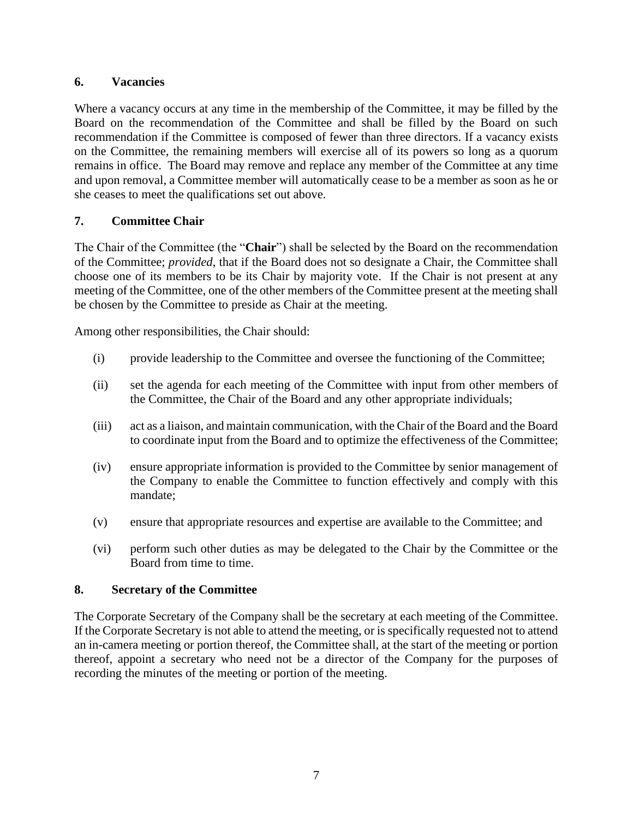### **6. Vacancies**

Where a vacancy occurs at any time in the membership of the Committee, it may be filled by the Board on the recommendation of the Committee and shall be filled by the Board on such recommendation if the Committee is composed of fewer than three directors. If a vacancy exists on the Committee, the remaining members will exercise all of its powers so long as a quorum remains in office. The Board may remove and replace any member of the Committee at any time and upon removal, a Committee member will automatically cease to be a member as soon as he or she ceases to meet the qualifications set out above.

# **7. Committee Chair**

The Chair of the Committee (the "**Chair**") shall be selected by the Board on the recommendation of the Committee; *provided*, that if the Board does not so designate a Chair, the Committee shall choose one of its members to be its Chair by majority vote. If the Chair is not present at any meeting of the Committee, one of the other members of the Committee present at the meeting shall be chosen by the Committee to preside as Chair at the meeting.

Among other responsibilities, the Chair should:

- (i) provide leadership to the Committee and oversee the functioning of the Committee;
- (ii) set the agenda for each meeting of the Committee with input from other members of the Committee, the Chair of the Board and any other appropriate individuals;
- (iii) act as a liaison, and maintain communication, with the Chair of the Board and the Board to coordinate input from the Board and to optimize the effectiveness of the Committee;
- (iv) ensure appropriate information is provided to the Committee by senior management of the Company to enable the Committee to function effectively and comply with this mandate;
- (v) ensure that appropriate resources and expertise are available to the Committee; and
- (vi) perform such other duties as may be delegated to the Chair by the Committee or the Board from time to time.

#### **8. Secretary of the Committee**

The Corporate Secretary of the Company shall be the secretary at each meeting of the Committee. If the Corporate Secretary is not able to attend the meeting, or is specifically requested not to attend an in-camera meeting or portion thereof, the Committee shall, at the start of the meeting or portion thereof, appoint a secretary who need not be a director of the Company for the purposes of recording the minutes of the meeting or portion of the meeting.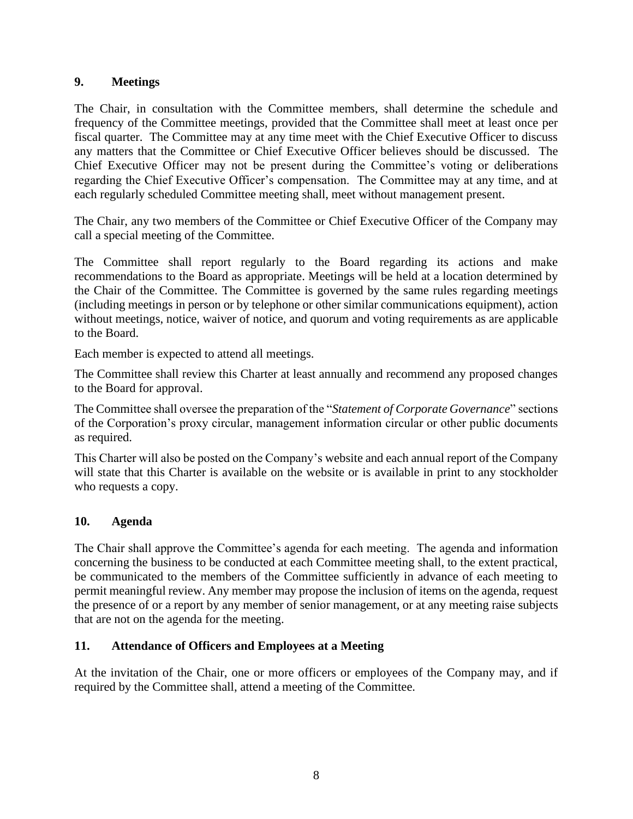### **9. Meetings**

The Chair, in consultation with the Committee members, shall determine the schedule and frequency of the Committee meetings, provided that the Committee shall meet at least once per fiscal quarter. The Committee may at any time meet with the Chief Executive Officer to discuss any matters that the Committee or Chief Executive Officer believes should be discussed. The Chief Executive Officer may not be present during the Committee's voting or deliberations regarding the Chief Executive Officer's compensation. The Committee may at any time, and at each regularly scheduled Committee meeting shall, meet without management present.

The Chair, any two members of the Committee or Chief Executive Officer of the Company may call a special meeting of the Committee.

The Committee shall report regularly to the Board regarding its actions and make recommendations to the Board as appropriate. Meetings will be held at a location determined by the Chair of the Committee. The Committee is governed by the same rules regarding meetings (including meetings in person or by telephone or other similar communications equipment), action without meetings, notice, waiver of notice, and quorum and voting requirements as are applicable to the Board.

Each member is expected to attend all meetings.

The Committee shall review this Charter at least annually and recommend any proposed changes to the Board for approval.

The Committee shall oversee the preparation of the "*Statement of Corporate Governance*" sections of the Corporation's proxy circular, management information circular or other public documents as required.

This Charter will also be posted on the Company's website and each annual report of the Company will state that this Charter is available on the website or is available in print to any stockholder who requests a copy.

# **10. Agenda**

The Chair shall approve the Committee's agenda for each meeting. The agenda and information concerning the business to be conducted at each Committee meeting shall, to the extent practical, be communicated to the members of the Committee sufficiently in advance of each meeting to permit meaningful review. Any member may propose the inclusion of items on the agenda, request the presence of or a report by any member of senior management, or at any meeting raise subjects that are not on the agenda for the meeting.

# **11. Attendance of Officers and Employees at a Meeting**

At the invitation of the Chair, one or more officers or employees of the Company may, and if required by the Committee shall, attend a meeting of the Committee.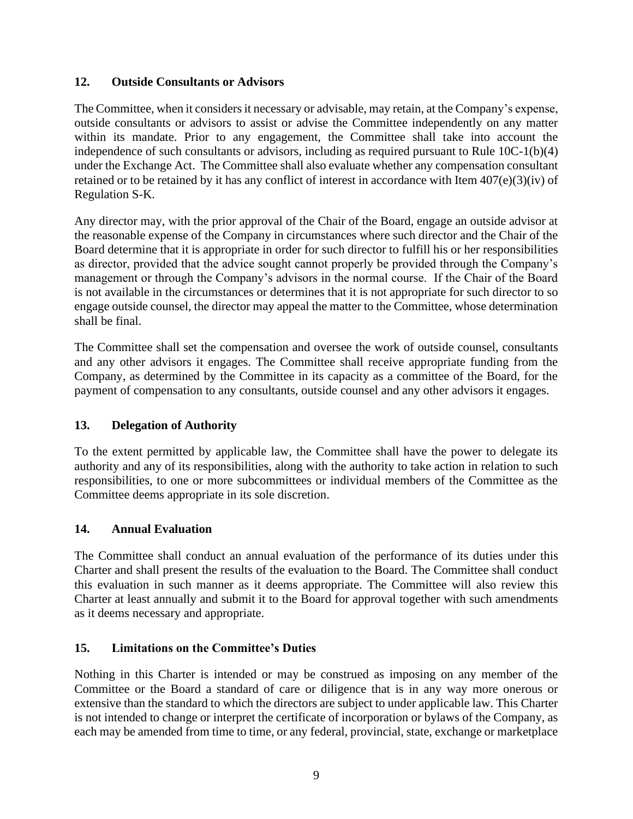# **12. Outside Consultants or Advisors**

The Committee, when it considers it necessary or advisable, may retain, at the Company's expense, outside consultants or advisors to assist or advise the Committee independently on any matter within its mandate. Prior to any engagement, the Committee shall take into account the independence of such consultants or advisors, including as required pursuant to Rule 10C-1(b)(4) under the Exchange Act. The Committee shall also evaluate whether any compensation consultant retained or to be retained by it has any conflict of interest in accordance with Item 407(e)(3)(iv) of Regulation S-K.

Any director may, with the prior approval of the Chair of the Board, engage an outside advisor at the reasonable expense of the Company in circumstances where such director and the Chair of the Board determine that it is appropriate in order for such director to fulfill his or her responsibilities as director, provided that the advice sought cannot properly be provided through the Company's management or through the Company's advisors in the normal course. If the Chair of the Board is not available in the circumstances or determines that it is not appropriate for such director to so engage outside counsel, the director may appeal the matter to the Committee, whose determination shall be final.

The Committee shall set the compensation and oversee the work of outside counsel, consultants and any other advisors it engages. The Committee shall receive appropriate funding from the Company, as determined by the Committee in its capacity as a committee of the Board, for the payment of compensation to any consultants, outside counsel and any other advisors it engages.

# **13. Delegation of Authority**

To the extent permitted by applicable law, the Committee shall have the power to delegate its authority and any of its responsibilities, along with the authority to take action in relation to such responsibilities, to one or more subcommittees or individual members of the Committee as the Committee deems appropriate in its sole discretion.

# **14. Annual Evaluation**

The Committee shall conduct an annual evaluation of the performance of its duties under this Charter and shall present the results of the evaluation to the Board. The Committee shall conduct this evaluation in such manner as it deems appropriate. The Committee will also review this Charter at least annually and submit it to the Board for approval together with such amendments as it deems necessary and appropriate.

# **15. Limitations on the Committee's Duties**

Nothing in this Charter is intended or may be construed as imposing on any member of the Committee or the Board a standard of care or diligence that is in any way more onerous or extensive than the standard to which the directors are subject to under applicable law. This Charter is not intended to change or interpret the certificate of incorporation or bylaws of the Company, as each may be amended from time to time, or any federal, provincial, state, exchange or marketplace